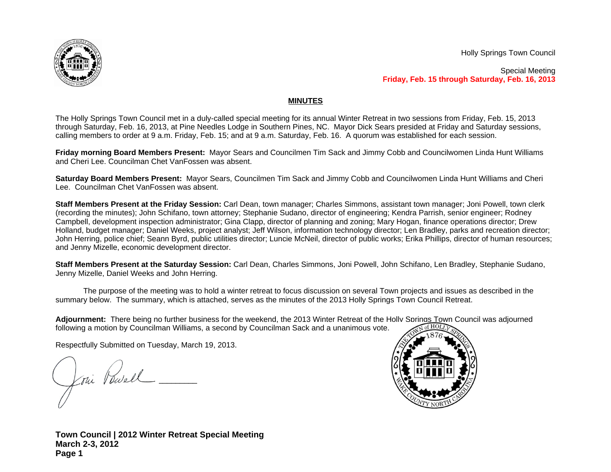

Holly Springs Town Council

Special Meeting **Friday, Feb. 15 through Saturday, Feb. 16, 2013**

## **MINUTES**

The Holly Springs Town Council met in a duly-called special meeting for its annual Winter Retreat in two sessions from Friday, Feb. 15, 2013 through Saturday, Feb. 16, 2013, at Pine Needles Lodge in Southern Pines, NC. Mayor Dick Sears presided at Friday and Saturday sessions, calling members to order at 9 a.m. Friday, Feb. 15; and at 9 a.m. Saturday, Feb. 16. A quorum was established for each session.

**Friday morning Board Members Present:** Mayor Sears and Councilmen Tim Sack and Jimmy Cobb and Councilwomen Linda Hunt Williams and Cheri Lee. Councilman Chet VanFossen was absent.

**Saturday Board Members Present:** Mayor Sears, Councilmen Tim Sack and Jimmy Cobb and Councilwomen Linda Hunt Williams and Cheri Lee. Councilman Chet VanFossen was absent.

**Staff Members Present at the Friday Session:** Carl Dean, town manager; Charles Simmons, assistant town manager; Joni Powell, town clerk (recording the minutes); John Schifano, town attorney; Stephanie Sudano, director of engineering; Kendra Parrish, senior engineer; Rodney Campbell, development inspection administrator; Gina Clapp, director of planning and zoning; Mary Hogan, finance operations director; Drew Holland, budget manager; Daniel Weeks, project analyst; Jeff Wilson, information technology director; Len Bradley, parks and recreation director; John Herring, police chief; Seann Byrd, public utilities director; Luncie McNeil, director of public works; Erika Phillips, director of human resources; and Jenny Mizelle, economic development director.

**Staff Members Present at the Saturday Session:** Carl Dean, Charles Simmons, Joni Powell, John Schifano, Len Bradley, Stephanie Sudano, Jenny Mizelle, Daniel Weeks and John Herring.

The purpose of the meeting was to hold a winter retreat to focus discussion on several Town projects and issues as described in the summary below. The summary, which is attached, serves as the minutes of the 2013 Holly Springs Town Council Retreat.

Adjournment: There being no further business for the weekend, the 2013 Winter Retreat of the Holly Springs Town Council was adjourned following a motion by Councilman Williams, a second by Councilman Sack and a unanimous vote.

Respectfully Submitted on Tuesday, March 19, 2013.

\_\_\_\_\_\_\_\_\_\_\_\_\_\_\_\_\_\_\_\_\_\_\_\_\_\_\_\_\_\_\_\_\_  $\overline{\mathcal{A}}$  $\sqrt{2}$ 



**Town Council | 2012 Winter Retreat Special Meeting March 2-3, 2012 Page 1**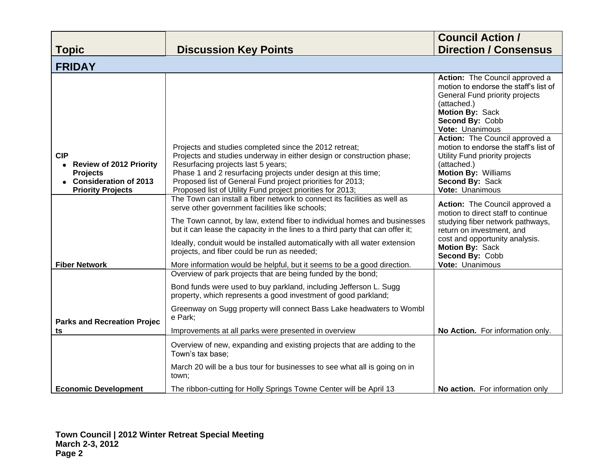|                                                                                                                                          |                                                                                                                                                                                                                                                                                                                                                                                                                                                                                                    | <b>Council Action /</b><br><b>Direction / Consensus</b>                                                                                                                                                                          |
|------------------------------------------------------------------------------------------------------------------------------------------|----------------------------------------------------------------------------------------------------------------------------------------------------------------------------------------------------------------------------------------------------------------------------------------------------------------------------------------------------------------------------------------------------------------------------------------------------------------------------------------------------|----------------------------------------------------------------------------------------------------------------------------------------------------------------------------------------------------------------------------------|
| <b>Topic</b>                                                                                                                             | <b>Discussion Key Points</b>                                                                                                                                                                                                                                                                                                                                                                                                                                                                       |                                                                                                                                                                                                                                  |
| <b>FRIDAY</b>                                                                                                                            |                                                                                                                                                                                                                                                                                                                                                                                                                                                                                                    |                                                                                                                                                                                                                                  |
|                                                                                                                                          |                                                                                                                                                                                                                                                                                                                                                                                                                                                                                                    | Action: The Council approved a<br>motion to endorse the staff's list of<br>General Fund priority projects<br>(attached.)<br>Motion By: Sack<br>Second By: Cobb<br>Vote: Unanimous                                                |
| <b>CIP</b><br><b>Review of 2012 Priority</b><br>$\bullet$<br><b>Projects</b><br><b>Consideration of 2013</b><br><b>Priority Projects</b> | Projects and studies completed since the 2012 retreat;<br>Projects and studies underway in either design or construction phase;<br>Resurfacing projects last 5 years;<br>Phase 1 and 2 resurfacing projects under design at this time;<br>Proposed list of General Fund project priorities for 2013;<br>Proposed list of Utility Fund project priorities for 2013;                                                                                                                                 | Action: The Council approved a<br>motion to endorse the staff's list of<br>Utility Fund priority projects<br>(attached.)<br><b>Motion By: Williams</b><br>Second By: Sack<br>Vote: Unanimous                                     |
| <b>Fiber Network</b>                                                                                                                     | The Town can install a fiber network to connect its facilities as well as<br>serve other government facilities like schools;<br>The Town cannot, by law, extend fiber to individual homes and businesses<br>but it can lease the capacity in the lines to a third party that can offer it;<br>Ideally, conduit would be installed automatically with all water extension<br>projects, and fiber could be run as needed;<br>More information would be helpful, but it seems to be a good direction. | Action: The Council approved a<br>motion to direct staff to continue<br>studying fiber network pathways,<br>return on investment, and<br>cost and opportunity analysis.<br>Motion By: Sack<br>Second By: Cobb<br>Vote: Unanimous |
|                                                                                                                                          | Overview of park projects that are being funded by the bond;                                                                                                                                                                                                                                                                                                                                                                                                                                       |                                                                                                                                                                                                                                  |
|                                                                                                                                          | Bond funds were used to buy parkland, including Jefferson L. Sugg<br>property, which represents a good investment of good parkland;                                                                                                                                                                                                                                                                                                                                                                |                                                                                                                                                                                                                                  |
| <b>Parks and Recreation Projec</b>                                                                                                       | Greenway on Sugg property will connect Bass Lake headwaters to Wombl<br>e Park;                                                                                                                                                                                                                                                                                                                                                                                                                    |                                                                                                                                                                                                                                  |
| ts                                                                                                                                       | Improvements at all parks were presented in overview                                                                                                                                                                                                                                                                                                                                                                                                                                               | No Action. For information only.                                                                                                                                                                                                 |
|                                                                                                                                          | Overview of new, expanding and existing projects that are adding to the<br>Town's tax base:                                                                                                                                                                                                                                                                                                                                                                                                        |                                                                                                                                                                                                                                  |
|                                                                                                                                          | March 20 will be a bus tour for businesses to see what all is going on in<br>town;                                                                                                                                                                                                                                                                                                                                                                                                                 |                                                                                                                                                                                                                                  |
| <b>Economic Development</b>                                                                                                              | The ribbon-cutting for Holly Springs Towne Center will be April 13                                                                                                                                                                                                                                                                                                                                                                                                                                 | No action. For information only                                                                                                                                                                                                  |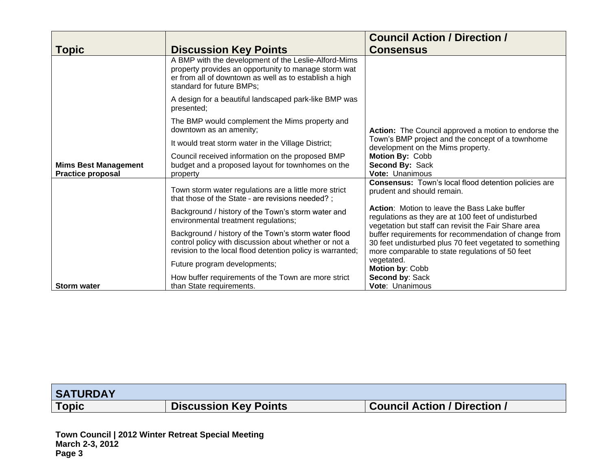|                                                         |                                                                                                                                                                                                     | <b>Council Action / Direction /</b>                                                                                                                                 |
|---------------------------------------------------------|-----------------------------------------------------------------------------------------------------------------------------------------------------------------------------------------------------|---------------------------------------------------------------------------------------------------------------------------------------------------------------------|
| <b>Topic</b>                                            | <b>Discussion Key Points</b>                                                                                                                                                                        | <b>Consensus</b>                                                                                                                                                    |
|                                                         | A BMP with the development of the Leslie-Alford-Mims<br>property provides an opportunity to manage storm wat<br>er from all of downtown as well as to establish a high<br>standard for future BMPs; |                                                                                                                                                                     |
|                                                         | A design for a beautiful landscaped park-like BMP was<br>presented;                                                                                                                                 |                                                                                                                                                                     |
|                                                         | The BMP would complement the Mims property and<br>downtown as an amenity;                                                                                                                           | Action: The Council approved a motion to endorse the                                                                                                                |
|                                                         | It would treat storm water in the Village District;                                                                                                                                                 | Town's BMP project and the concept of a townhome<br>development on the Mims property.                                                                               |
| <b>Mims Best Management</b><br><b>Practice proposal</b> | Council received information on the proposed BMP<br>budget and a proposed layout for townhomes on the<br>property                                                                                   | Motion By: Cobb<br>Second By: Sack<br><b>Vote: Unanimous</b>                                                                                                        |
|                                                         | Town storm water regulations are a little more strict<br>that those of the State - are revisions needed?;                                                                                           | Consensus: Town's local flood detention policies are<br>prudent and should remain.                                                                                  |
|                                                         | Background / history of the Town's storm water and<br>environmental treatment regulations;                                                                                                          | Action: Motion to leave the Bass Lake buffer<br>regulations as they are at 100 feet of undisturbed<br>vegetation but staff can revisit the Fair Share area          |
|                                                         | Background / history of the Town's storm water flood<br>control policy with discussion about whether or not a<br>revision to the local flood detention policy is warranted;                         | buffer requirements for recommendation of change from<br>30 feet undisturbed plus 70 feet vegetated to something<br>more comparable to state regulations of 50 feet |
|                                                         | Future program developments;                                                                                                                                                                        | vegetated.<br>Motion by: Cobb                                                                                                                                       |
| <b>Storm water</b>                                      | How buffer requirements of the Town are more strict<br>than State requirements.                                                                                                                     | Second by: Sack<br>Vote: Unanimous                                                                                                                                  |

| <b>SATURDAY</b> |                              |                              |
|-----------------|------------------------------|------------------------------|
| <b>Topic</b>    | <b>Discussion Key Points</b> | Council Action / Direction / |
|                 |                              |                              |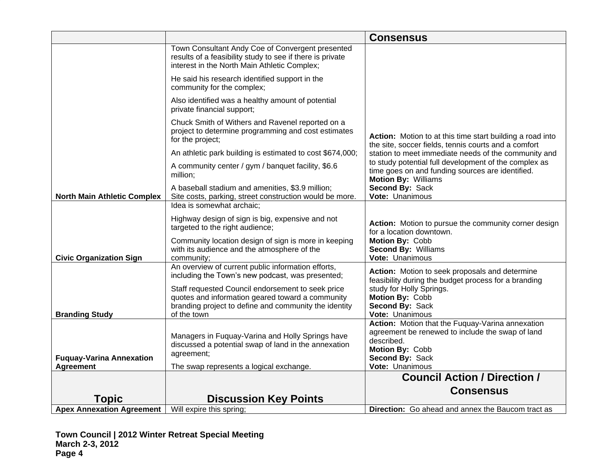|                                                     |                                                                                                                                                                   | <b>Consensus</b>                                                                                                                                                            |
|-----------------------------------------------------|-------------------------------------------------------------------------------------------------------------------------------------------------------------------|-----------------------------------------------------------------------------------------------------------------------------------------------------------------------------|
|                                                     | Town Consultant Andy Coe of Convergent presented<br>results of a feasibility study to see if there is private<br>interest in the North Main Athletic Complex;     |                                                                                                                                                                             |
|                                                     | He said his research identified support in the<br>community for the complex;                                                                                      |                                                                                                                                                                             |
|                                                     | Also identified was a healthy amount of potential<br>private financial support;                                                                                   |                                                                                                                                                                             |
|                                                     | Chuck Smith of Withers and Ravenel reported on a<br>project to determine programming and cost estimates<br>for the project;                                       | Action: Motion to at this time start building a road into<br>the site, soccer fields, tennis courts and a comfort                                                           |
|                                                     | An athletic park building is estimated to cost \$674,000;                                                                                                         | station to meet immediate needs of the community and                                                                                                                        |
|                                                     | A community center / gym / banquet facility, \$6.6<br>million;                                                                                                    | to study potential full development of the complex as<br>time goes on and funding sources are identified.<br><b>Motion By: Williams</b>                                     |
| <b>North Main Athletic Complex</b>                  | A baseball stadium and amenities, \$3.9 million;<br>Site costs, parking, street construction would be more.                                                       | Second By: Sack<br>Vote: Unanimous                                                                                                                                          |
|                                                     | Idea is somewhat archaic;                                                                                                                                         |                                                                                                                                                                             |
|                                                     | Highway design of sign is big, expensive and not<br>targeted to the right audience;                                                                               | Action: Motion to pursue the community corner design<br>for a location downtown.                                                                                            |
| <b>Civic Organization Sign</b>                      | Community location design of sign is more in keeping<br>with its audience and the atmosphere of the<br>community;                                                 | Motion By: Cobb<br>Second By: Williams<br>Vote: Unanimous                                                                                                                   |
|                                                     | An overview of current public information efforts,<br>including the Town's new podcast, was presented;                                                            | Action: Motion to seek proposals and determine<br>feasibility during the budget process for a branding                                                                      |
|                                                     | Staff requested Council endorsement to seek price                                                                                                                 | study for Holly Springs.                                                                                                                                                    |
|                                                     | quotes and information geared toward a community<br>branding project to define and community the identity                                                         | Motion By: Cobb<br>Second By: Sack                                                                                                                                          |
| <b>Branding Study</b>                               | of the town                                                                                                                                                       | Vote: Unanimous                                                                                                                                                             |
| <b>Fuquay-Varina Annexation</b><br><b>Agreement</b> | Managers in Fuquay-Varina and Holly Springs have<br>discussed a potential swap of land in the annexation<br>agreement;<br>The swap represents a logical exchange. | Action: Motion that the Fuquay-Varina annexation<br>agreement be renewed to include the swap of land<br>described.<br>Motion By: Cobb<br>Second By: Sack<br>Vote: Unanimous |
|                                                     |                                                                                                                                                                   | <b>Council Action / Direction /</b>                                                                                                                                         |
|                                                     |                                                                                                                                                                   | <b>Consensus</b>                                                                                                                                                            |
| Topic                                               | <b>Discussion Key Points</b>                                                                                                                                      |                                                                                                                                                                             |
| <b>Apex Annexation Agreement</b>                    | Will expire this spring;                                                                                                                                          | <b>Direction:</b> Go ahead and annex the Baucom tract as                                                                                                                    |